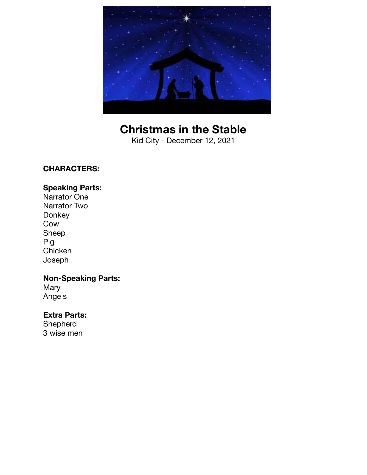

## **Christmas in the Stable**

Kid City - December 12, 2021

#### **CHARACTERS:**

#### **Speaking Parts:**

Narrator One Narrator Two Donkey Cow Sheep Pig **Chicken** Joseph

### **Non-Speaking Parts:**

**Mary** Angels

#### **Extra Parts:**

Shepherd 3 wise men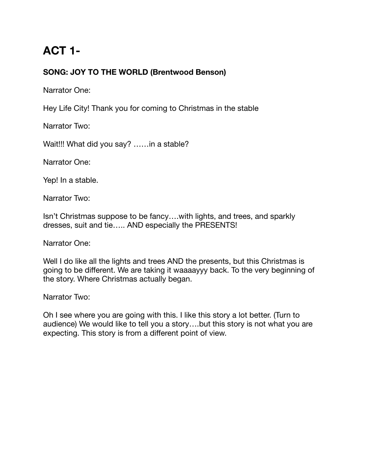## **ACT 1-**

### **SONG: JOY TO THE WORLD (Brentwood Benson)**

Narrator One:

Hey Life City! Thank you for coming to Christmas in the stable

Narrator Two:

Wait!!! What did you say? ……in a stable?

Narrator One:

Yep! In a stable.

Narrator Two:

Isn't Christmas suppose to be fancy….with lights, and trees, and sparkly dresses, suit and tie….. AND especially the PRESENTS!

Narrator One:

Well I do like all the lights and trees AND the presents, but this Christmas is going to be different. We are taking it waaaayyy back. To the very beginning of the story. Where Christmas actually began.

Narrator Two:

Oh I see where you are going with this. I like this story a lot better. (Turn to audience) We would like to tell you a story….but this story is not what you are expecting. This story is from a different point of view.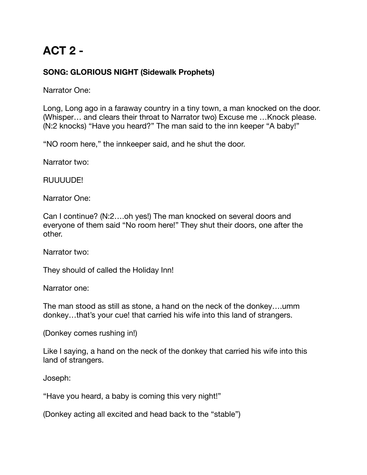## **ACT 2 -**

### **SONG: GLORIOUS NIGHT (Sidewalk Prophets)**

Narrator One:

Long, Long ago in a faraway country in a tiny town, a man knocked on the door. (Whisper… and clears their throat to Narrator two) Excuse me …Knock please. (N:2 knocks) "Have you heard?" The man said to the inn keeper "A baby!"

"NO room here," the innkeeper said, and he shut the door.

Narrator two:

RUUUUDE!

Narrator One:

Can I continue? (N:2….oh yes!) The man knocked on several doors and everyone of them said "No room here!" They shut their doors, one after the other.

Narrator two:

They should of called the Holiday Inn!

Narrator one:

The man stood as still as stone, a hand on the neck of the donkey….umm donkey…that's your cue! that carried his wife into this land of strangers.

(Donkey comes rushing in!)

Like I saying, a hand on the neck of the donkey that carried his wife into this land of strangers.

Joseph:

"Have you heard, a baby is coming this very night!"

(Donkey acting all excited and head back to the "stable")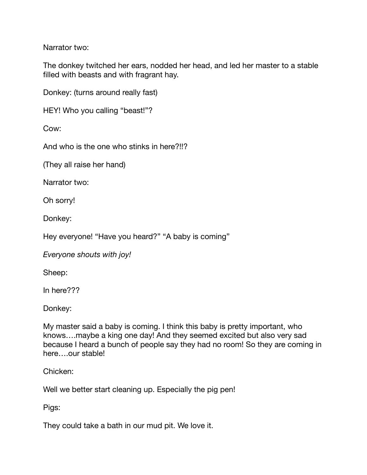Narrator two:

The donkey twitched her ears, nodded her head, and led her master to a stable filled with beasts and with fragrant hay.

Donkey: (turns around really fast)

HEY! Who you calling "beast!"?

Cow:

And who is the one who stinks in here?!!?

(They all raise her hand)

Narrator two:

Oh sorry!

Donkey:

Hey everyone! "Have you heard?" "A baby is coming"

*Everyone shouts with joy!* 

Sheep:

In here???

Donkey:

My master said a baby is coming. I think this baby is pretty important, who knows….maybe a king one day! And they seemed excited but also very sad because I heard a bunch of people say they had no room! So they are coming in here….our stable!

Chicken:

Well we better start cleaning up. Especially the pig pen!

Pigs:

They could take a bath in our mud pit. We love it.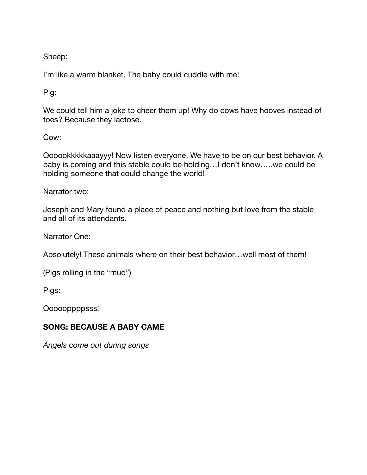Sheep:

I'm like a warm blanket. The baby could cuddle with me!

Pig:

We could tell him a joke to cheer them up! Why do cows have hooves instead of toes? Because they lactose.

Cow:

Oooookkkkkaaayyy! Now listen everyone. We have to be on our best behavior. A baby is coming and this stable could be holding…I don't know…..we could be holding someone that could change the world!

Narrator two:

Joseph and Mary found a place of peace and nothing but love from the stable and all of its attendants.

Narrator One:

Absolutely! These animals where on their best behavior…well most of them!

(Pigs rolling in the "mud")

Pigs:

Oooooppppsss!

#### **SONG: BECAUSE A BABY CAME**

*Angels come out during songs*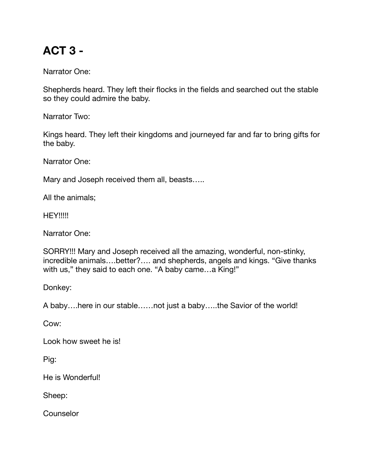# **ACT 3 -**

Narrator One:

Shepherds heard. They left their flocks in the fields and searched out the stable so they could admire the baby.

Narrator Two:

Kings heard. They left their kingdoms and journeyed far and far to bring gifts for the baby.

Narrator One:

Mary and Joseph received them all, beasts…..

All the animals;

**HEY!!!!!** 

Narrator One:

SORRY!!! Mary and Joseph received all the amazing, wonderful, non-stinky, incredible animals….better?…. and shepherds, angels and kings. "Give thanks with us," they said to each one. "A baby came…a King!"

Donkey:

A baby….here in our stable……not just a baby…..the Savior of the world!

Cow:

Look how sweet he is!

Pig:

He is Wonderful!

Sheep:

Counselor